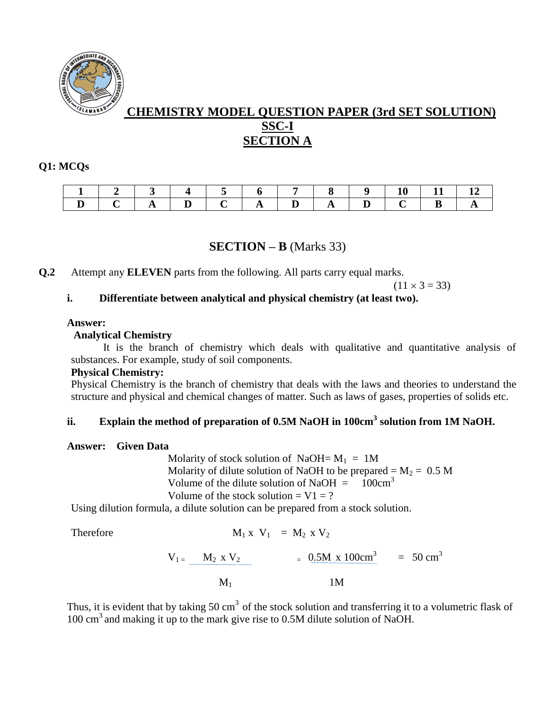

# **CHEMISTRY MODEL QUESTION PAPER (3rd SET SOLUTION) SSC-I SECTION A**

#### **Q1: MCQs**

|  |  | $\sim$ |          |  |  |  |
|--|--|--------|----------|--|--|--|
|  |  |        | $\Delta$ |  |  |  |

# **SECTION – B** (Marks 33)

**Q.2** Attempt any **ELEVEN** parts from the following. All parts carry equal marks.

 $(11 \times 3 = 33)$ 

## **i. Differentiate between analytical and physical chemistry (at least two).**

#### **Answer:**

#### **Analytical Chemistry**

It is the branch of chemistry which deals with qualitative and quantitative analysis of substances. For example, study of soil components.

#### **Physical Chemistry:**

Physical Chemistry is the branch of chemistry that deals with the laws and theories to understand the structure and physical and chemical changes of matter. Such as laws of gases, properties of solids etc.

## **ii. Explain the method of preparation of 0.5M NaOH in 100cm<sup>3</sup> solution from 1M NaOH.**

#### **Answer: Given Data**

Molarity of stock solution of NaOH=  $M_1 = 1M$ Molarity of dilute solution of NaOH to be prepared =  $M_2 = 0.5$  M Volume of the dilute solution of NaOH  $=$  100cm<sup>3</sup> Volume of the stock solution  $= V1 = ?$ 

Using dilution formula, a dilute solution can be prepared from a stock solution.

Therefore M

$$
M_1 \times V_1 = M_2 \times V_2
$$

$$
V_{1} = \frac{M_2 \times V_2}{M_1} = \frac{0.5 M \times 100 cm^3}{1 M} = 50 cm^3
$$

Thus, it is evident that by taking 50 cm<sup>3</sup> of the stock solution and transferring it to a volumetric flask of  $100 \text{ cm}^3$  and making it up to the mark give rise to 0.5M dilute solution of NaOH.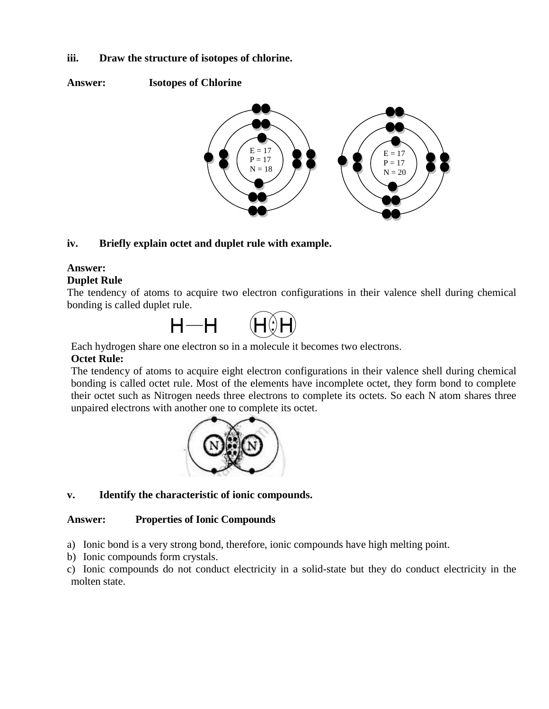#### **iii. Draw the structure of isotopes of chlorine.**

**Answer: Isotopes of Chlorine**



## **iv. Briefly explain octet and duplet rule with example.**

## **Answer:**

#### **Duplet Rule**

The tendency of atoms to acquire two electron configurations in their valence shell during chemical bonding is called duplet rule.



Each hydrogen share one electron so in a molecule it becomes two electrons.

#### **Octet Rule:**

The tendency of atoms to acquire eight electron configurations in their valence shell during chemical bonding is called octet rule. Most of the elements have incomplete octet, they form bond to complete their octet such as Nitrogen needs three electrons to complete its octets. So each N atom shares three unpaired electrons with another one to complete its octet.



## **v. Identify the characteristic of ionic compounds.**

#### **Answer: Properties of Ionic Compounds**

a) Ionic bond is a very strong bond, therefore, ionic compounds have high melting point.

- b) Ionic compounds form [crystals.](https://www.toppr.com/guides/chemistry/the-solid-state/close-packing-in-crystals/)
- c) Ionic compounds do not conduct electricity in a solid-state but they do conduct electricity in the molten state.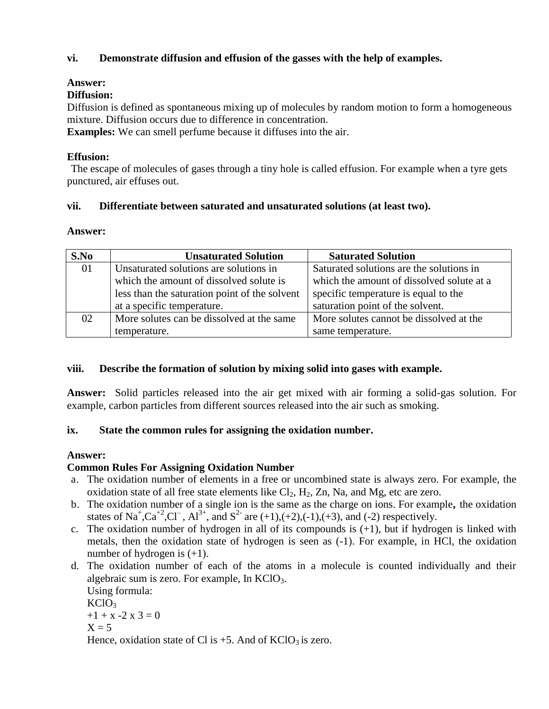## **vi. Demonstrate diffusion and effusion of the gasses with the help of examples.**

## **Answer:**

## **Diffusion:**

Diffusion is defined as spontaneous mixing up of molecules by random motion to form a homogeneous mixture. Diffusion occurs due to difference in concentration.

**Examples:** We can smell perfume because it diffuses into the air.

## **Effusion:**

The escape of molecules of gases through a tiny hole is called effusion. For example when a tyre gets punctured, air effuses out.

## **vii. Differentiate between saturated and unsaturated solutions (at least two).**

## **Answer:**

| S.No | <b>Unsaturated Solution</b>                   | <b>Saturated Solution</b>                 |  |
|------|-----------------------------------------------|-------------------------------------------|--|
| 01   | Unsaturated solutions are solutions in        | Saturated solutions are the solutions in  |  |
|      | which the amount of dissolved solute is       | which the amount of dissolved solute at a |  |
|      | less than the saturation point of the solvent | specific temperature is equal to the      |  |
|      | at a specific temperature.                    | saturation point of the solvent.          |  |
| 02   | More solutes can be dissolved at the same     | More solutes cannot be dissolved at the   |  |
|      | temperature.                                  | same temperature.                         |  |

## **viii. Describe the formation of solution by mixing solid into gases with example.**

**Answer:** Solid particles released into the air get mixed with air forming a solid-gas solution. For example, carbon particles from different sources released into the air such as smoking.

# **ix. State the common rules for assigning the oxidation number.**

# **Answer:**

# **Common Rules For Assigning Oxidation Number**

- a. The oxidation number of elements in a free or uncombined state is always zero. For example, the oxidation state of all free state elements like  $Cl_2$ ,  $H_2$ ,  $Zn$ , Na, and Mg, etc are zero.
- b. The oxidation number of a single ion is the same as the charge on ions. For example**,** the oxidation states of Na<sup>+</sup>,Ca<sup>+2</sup>,Cl<sup>-</sup>, Al<sup>3+</sup>, and S<sup>2-</sup> are (+1),(+2),(-1),(+3), and (-2) respectively.
- c. The oxidation number of hydrogen in all of its compounds is  $(+1)$ , but if hydrogen is linked with metals, then the oxidation state of hydrogen is seen as (-1). For example, in HCl, the oxidation number of hydrogen is  $(+1)$ .
- d. The oxidation number of each of the atoms in a molecule is counted individually and their algebraic sum is zero. For example, In  $KClO<sub>3</sub>$ .

```
Using formula:
KClO<sub>3</sub>+1 + x - 2x = 3 = 0X = 5Hence, oxidation state of Cl is +5. And of KClO<sub>3</sub> is zero.
```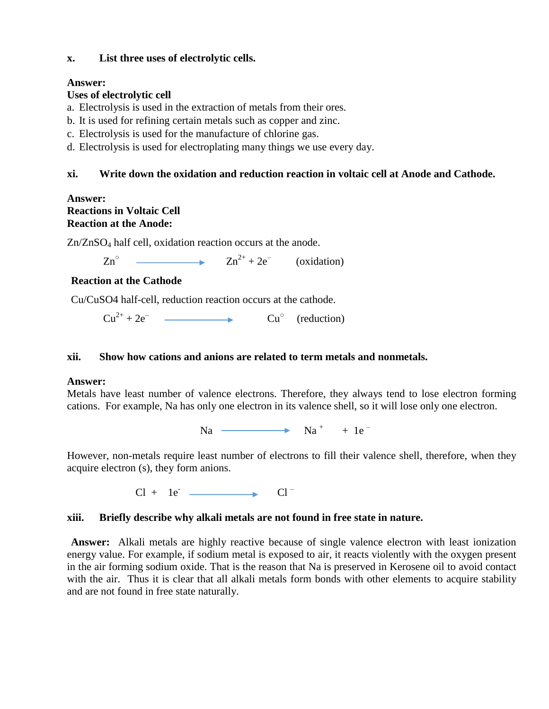#### **x. List three uses of electrolytic cells.**

## **Answer:**

## **Uses of electrolytic cell**

- a. Electrolysis is used in the extraction of metals from their ores.
- b. It is used for refining certain metals such as copper and zinc.
- c. Electrolysis is used for the manufacture of chlorine gas.
- d. Electrolysis is used for electroplating many things we use every day.

## **xi. Write down the oxidation and reduction reaction in voltaic cell at Anode and Cathode.**

## **Answer: Reactions in Voltaic Cell Reaction at the Anode:**

Zn/ZnSO<sup>4</sup> half cell, oxidation reaction occurs at the anode.

 $Zn^{\circ}$  $Zn^{2+} + 2e^-$  (oxidation)

# **Reaction at the Cathode**

Cu/CuSO4 half-cell, reduction reaction occurs at the cathode.

 $Cu^{2+} + 2e^ \longrightarrow$   $Cu^{\circ}$  (reduction)

## **xii. Show how cations and anions are related to term metals and nonmetals.**

## **Answer:**

Metals have least number of valence electrons. Therefore, they always tend to lose electron forming cations. For example, Na has only one electron in its valence shell, so it will lose only one electron.

Na  $\longrightarrow$  Na<sup>+</sup> + 1e<sup>-</sup>

However, non-metals require least number of electrons to fill their valence shell, therefore, when they acquire electron (s), they form anions.

 $Cl + Ie^ \longrightarrow$   $Cl^-$ 

# **xiii. Briefly describe why alkali metals are not found in free state in nature.**

**Answer:** Alkali metals are highly reactive because of single valence electron with least ionization energy value. For example, if sodium metal is exposed to air, it reacts violently with the oxygen present in the air forming sodium oxide. That is the reason that Na is preserved in Kerosene oil to avoid contact with the air. Thus it is clear that all alkali metals form bonds with other elements to acquire stability and are not found in free state naturally.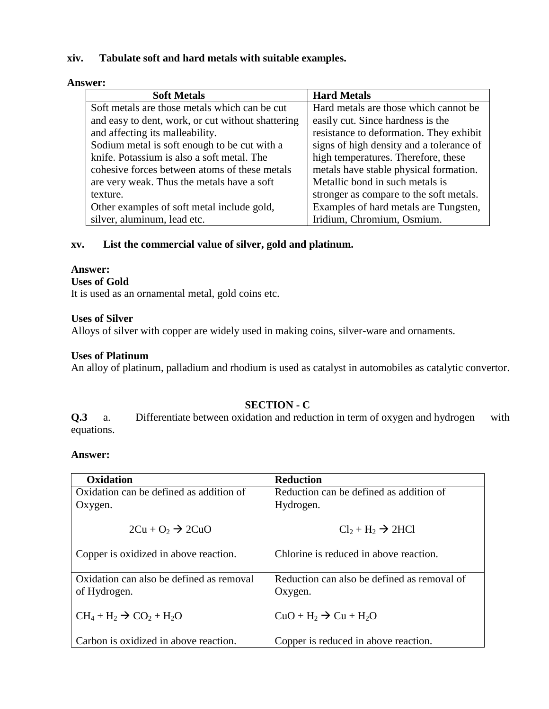#### **xiv. Tabulate soft and hard metals with suitable examples.**

#### **Answer:**

| <b>Soft Metals</b>                                | <b>Hard Metals</b>                       |
|---------------------------------------------------|------------------------------------------|
| Soft metals are those metals which can be cut     | Hard metals are those which cannot be    |
| and easy to dent, work, or cut without shattering | easily cut. Since hardness is the        |
| and affecting its malleability.                   | resistance to deformation. They exhibit  |
| Sodium metal is soft enough to be cut with a      | signs of high density and a tolerance of |
| knife. Potassium is also a soft metal. The        | high temperatures. Therefore, these      |
| cohesive forces between atoms of these metals     | metals have stable physical formation.   |
| are very weak. Thus the metals have a soft        | Metallic bond in such metals is          |
| texture.                                          | stronger as compare to the soft metals.  |
| Other examples of soft metal include gold,        | Examples of hard metals are Tungsten,    |
| silver, aluminum, lead etc.                       | Iridium, Chromium, Osmium.               |

## **xv. List the commercial value of silver, gold and platinum.**

#### **Answer:**

#### **Uses of Gold**

It is used as an ornamental metal, gold coins etc.

#### **Uses of Silver**

Alloys of silver with copper are widely used in making coins, silver-ware and ornaments.

#### **Uses of Platinum**

An alloy of platinum, palladium and rhodium is used as catalyst in automobiles as catalytic convertor.

## **SECTION - C**

**Q.3** a. Differentiate between oxidation and reduction in term of oxygen and hydrogen with equations.

#### **Answer:**

| Oxidation                                | <b>Reduction</b>                            |
|------------------------------------------|---------------------------------------------|
| Oxidation can be defined as addition of  | Reduction can be defined as addition of     |
| Oxygen.                                  | Hydrogen.                                   |
| $2Cu + O_2 \rightarrow 2CuO$             | $Cl_2 + H_2 \rightarrow 2HCl$               |
| Copper is oxidized in above reaction.    | Chlorine is reduced in above reaction.      |
| Oxidation can also be defined as removal | Reduction can also be defined as removal of |
| of Hydrogen.                             | Oxygen.                                     |
| $CH_4 + H_2 \rightarrow CO_2 + H_2O$     | $CuO + H2 \rightarrow Cu + H2O$             |
| Carbon is oxidized in above reaction.    | Copper is reduced in above reaction.        |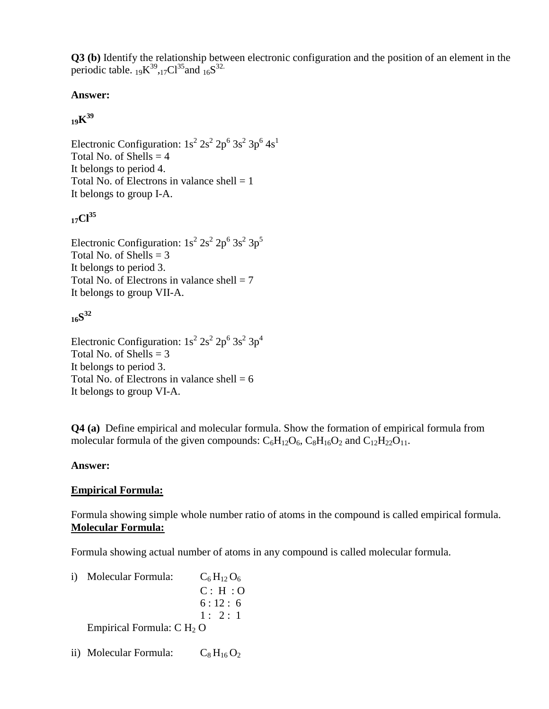**Q3 (b)** Identify the relationship between electronic configuration and the position of an element in the periodic table.  $_{19}K^{39}$ ,  $_{17}Cl^{35}$  and  $_{16}S^{32}$ .

# **Answer:**

# **<sup>19</sup>K 39**

Electronic Configuration:  $1s^2 2s^2 2p^6 3s^2 3p^6 4s^1$ Total No. of Shells  $=$  4 It belongs to period 4. Total No. of Electrons in valance shell  $= 1$ It belongs to group I-A.

# **17Cl<sup>35</sup>**

Electronic Configuration:  $1s^2 2s^2 2p^6 3s^2 3p^5$ Total No. of Shells  $= 3$ It belongs to period 3. Total No. of Electrons in valance shell  $= 7$ It belongs to group VII-A.

# **<sup>16</sup>S 32**

Electronic Configuration:  $1s^2 2s^2 2p^6 3s^2 3p^4$ Total No. of Shells  $= 3$ It belongs to period 3. Total No. of Electrons in valance shell  $= 6$ It belongs to group VI-A.

**Q4 (a)** Define empirical and molecular formula. Show the formation of empirical formula from molecular formula of the given compounds:  $C_6H_{12}O_6$ ,  $C_8H_{16}O_2$  and  $C_{12}H_{22}O_{11}$ .

# **Answer:**

# **Empirical Formula:**

Formula showing simple whole number ratio of atoms in the compound is called empirical formula. **Molecular Formula:**

Formula showing actual number of atoms in any compound is called molecular formula.

i) Molecular Formula:  $C_6 H_{12} O_6$ C : H : O  $6:12:6$  $1: 2:1$ Empirical Formula:  $C H<sub>2</sub> O$ 

ii) Molecular Formula:  $C_8 H_{16} O_2$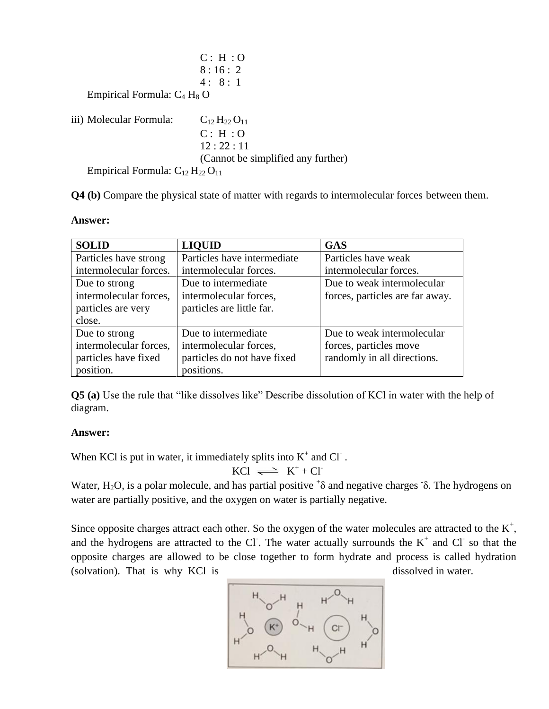|                                           | C: H: O                            |
|-------------------------------------------|------------------------------------|
|                                           | 8:16:2                             |
|                                           | 4:8:1                              |
| Empirical Formula: $C_4$ H <sub>8</sub> O |                                    |
| iii) Molecular Formula:                   | $C_{12}H_{22}O_{11}$               |
|                                           | C: H: O                            |
|                                           | 12:22:11                           |
|                                           | (Cannot be simplified any further) |
| Empirical Formula: $C_{12}H_{22}O_{11}$   |                                    |

**Q4 (b)** Compare the physical state of matter with regards to intermolecular forces between them.

| <b>SOLID</b>           | <b>LIQUID</b>               | <b>GAS</b>                      |  |  |
|------------------------|-----------------------------|---------------------------------|--|--|
| Particles have strong  | Particles have intermediate | Particles have weak             |  |  |
| intermolecular forces. | intermolecular forces.      | intermolecular forces.          |  |  |
| Due to strong          | Due to intermediate         | Due to weak intermolecular      |  |  |
| intermolecular forces, | intermolecular forces,      | forces, particles are far away. |  |  |
| particles are very     | particles are little far.   |                                 |  |  |
| close.                 |                             |                                 |  |  |
| Due to strong          | Due to intermediate         | Due to weak intermolecular      |  |  |
| intermolecular forces, | intermolecular forces,      | forces, particles move          |  |  |
| particles have fixed   | particles do not have fixed | randomly in all directions.     |  |  |
| position.              | positions.                  |                                 |  |  |

**Q5 (a)** Use the rule that "like dissolves like" Describe dissolution of KCl in water with the help of diagram.

#### **Answer:**

When KCl is put in water, it immediately splits into  $K^+$  and Cl  $\overline{\phantom{a}}$ .

$$
KCl \implies K^+ + Cl^-
$$

Water, H<sub>2</sub>O, is a polar molecule, and has partial positive  $\delta$  and negative charges  $\delta$ . The hydrogens on water are partially positive, and the oxygen on water is partially negative.

Since opposite charges attract each other. So the oxygen of the water molecules are attracted to the  $K^+$ , and the hydrogens are attracted to the Cl. The water actually surrounds the  $K^+$  and Cl so that the opposite charges are allowed to be close together to form hydrate and process is called hydration (solvation). That is why KCl is dissolved in water.